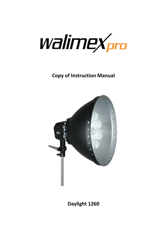

**Copy of Instruction Manual**



**Daylight 1260**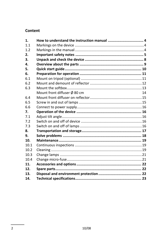#### Content

| 1.   |                                          |    |
|------|------------------------------------------|----|
| 11   |                                          |    |
| 1.2  |                                          |    |
| 2.   |                                          |    |
| 3.   |                                          |    |
| 4.   |                                          |    |
| 5.   |                                          |    |
| 6.   |                                          |    |
| 6.1  |                                          |    |
| 6.2  |                                          |    |
| 6.3  |                                          |    |
|      | Mount front diffuser $\varnothing$ 80 cm | 14 |
| 6.4  |                                          |    |
| 6.5  |                                          |    |
| 6.6  |                                          |    |
| 7.   |                                          |    |
| 71   |                                          |    |
| 7.2  |                                          |    |
| 7.3  |                                          |    |
| 8.   |                                          |    |
| 9.   |                                          |    |
| 10.  |                                          |    |
| 10.1 |                                          |    |
| 10.2 |                                          |    |
| 10.3 |                                          |    |
| 10.4 |                                          |    |
| 11.  |                                          |    |
| 12.  |                                          |    |
| 13.  |                                          |    |
| 14.  |                                          |    |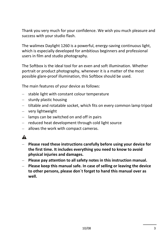Thank you very much for your confidence. We wish you much pleasure and success with your studio flash.

The walimex Daylight 1260 is a powerful, energy-saving continuous light, which is especially developed for ambitious beginners and professional users in film and studio photography.

The Softbox is the ideal tool for an even and soft illumination. Whether portrait or product photography, whenever it is a matter of the most possible glare-proof illumination, this Softbox should be used.

The main features of your device as follows:

- stable light with constant colour temperature
- sturdy plastic housing  $\equiv$  .
- $-$  tiltable and rotatable socket, which fits on every common lamp tripod
- very lightweight
- $\blacksquare$  lamps can be switched on and off in pairs
- $-$  reduced heat development through cold light source
- $-$  allows the work with compact cameras.

# $\blacktriangle$

- **Please read these instructions carefully before using your device for the first time. It includes everything you need to know to avoid physical injuries and damages.**
- **Please pay attention to all safety notes in this instruction manual.**
- **Please keep this manual safe. In case of selling or leaving the device to other persons, please don´t forget to hand this manual over as well.**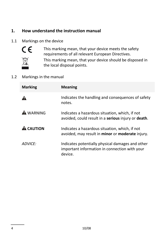### **1. How understand the instruction manual**

#### 1.1 Markings on the device



This marking mean, that your device meets the safety requirements of all relevant European Directives.



This marking mean, that your device should be disposed in the local disposal points.

#### 1.2 Markings in the manual

| <b>Marking</b>   | <b>Meaning</b>                                                                                               |
|------------------|--------------------------------------------------------------------------------------------------------------|
|                  | Indicates the handling and consequences of safety<br>notes.                                                  |
| <b>A</b> WARNING | Indicates a hazardous situation, which, if not<br>avoided, could result in a serious injury or death.        |
| <b>A</b> CAUTION | Indicates a hazardous situation, which, if not<br>avoided, may result in minor or moderate injury.           |
| ADVICF:          | Indicates potentially physical damages and other<br>important information in connection with your<br>device. |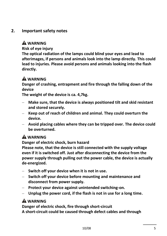### **2. Important safety notes**

### **WARNING**

**Risk of eye injury**

**The optical radiation of the lamps could blind your eyes and lead to afterimages, if persons and animals look into the lamp directly. This could lead to injuries. Please avoid persons and animals looking into the flash directly.** 

## **A** WARNING

**Danger of crashing, entrapment and fire through the falling down of the device**

**The weight of the device is ca. 4,7kg.**

- **Make sure, that the device is always positioned tilt and skid resistant and stored securely.**
- **Keep out of reach of children and animal. They could overturn the device.**
- **Avoid placing cables where they can be tripped over. The device could be overturned.**

# **WARNING**

**Danger of electric shock, burn hazard**

**Please note, that the device is still connected with the supply voltage even if it is switched off. Just after disconnecting the device from the power supply through pulling out the power cable, the device is actually de-energized.** 

- **Switch off your device when it is not in use.**
- **Switch off your device before mounting and maintenance and disconnect from power supply.**
- **Protect your device against unintended switching-on.**
- **Unplug the power cord, if the flash is not in use for a long time.**

# **WARNING**

**Danger of electric shock, fire through short-circuit**

**A short-circuit could be caused through defect cables and through**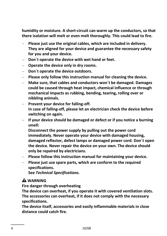**humidity or moisture. A short-circuit can warm up the conductors, so that there isolation will melt or even melt thoroughly. This could lead to fire.** 

- **Please just use the original cables, which are included in delivery. They are aligned for your device and guarantee the necessary safety for you and your device.**
- **Don´t operate the device with wet hand or feet.**
- **Operate the device only in dry rooms.**
- **Don´t operate the device outdoors.**
- **Please only follow this instruction manual for cleaning the device.**
- **Make sure, that cables and conductors won´t be damaged. Damages could be caused through heat impact, chemical influence or through mechanical impacts as rubbing, bending, tearing, rolling over or nibbling animals.**
- **Prevent your device for falling-off. In case of falling-off, please let an electrician check the device before switching on again.**
- **If your device should be damaged or defect or if you notice a burning smell:**

**Disconnect the power supply by pulling out the power cord immediately. Never operate your device with damaged housing, damaged reflector, defect lamps or damaged power cord. Don´t open the device. Never repair the device on your own. The device should only be repaired by electricians.** 

- **Please follow this instruction manual for maintaining your device.**
- **Please just use spare parts, which are conform to the required specifications.**

**See** *Technical Specifications***.**

### **WARNING**

**Fire danger through overheating**

**The device can overheat, if you operate it with covered ventilation slots. The accessories can overheat, if it does not comply with the necessary specifications.** 

**The device itself, accessories and easily inflammable materials in close distance could catch fire.**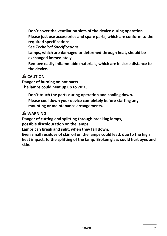- **Don´t cover the ventilation slots of the device during operation.**
- **Please just use accessories and spare parts, which are conform to the required specifications.**

**See** *Technical Specifications***.**

- **Lamps, which are damaged or deformed through heat, should be exchanged immediately.**
- **Remove easily inflammable materials, which are in close distance to the device.**

# **A** CAUTION

**Danger of burning on hot parts The lamps could heat up up to 70°C.** 

- **Don´t touch the parts during operation and cooling down.**
- **Please cool down your device completely before starting any mounting or maintenance arrangements.**

## **WARNING**

**Danger of cutting and splitting through breaking lamps,**

**possible discolouration on the lamps**

**Lamps can break and split, when they fall down.**

**Even small residues of skin oil on the lamps could lead, due to the high heat impact, to the splitting of the lamp. Broken glass could hurt eyes and skin.**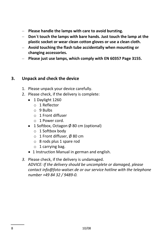- **Please handle the lamps with care to avoid bursting.**
- **Don´t touch the lamps with bare hands. Just touch the lamp at the plastic socket or wear clean cotton gloves or use a clean cloth.**
- **Avoid touching the flash tube accidentally when mounting or changing accessories.**
- **Please just use lamps, which comply with EN 60357 Page 3155.**

### **3. Unpack and check the device**

- 1. Please unpack your device carefully.
- 2. Please check, if the delivery is complete:
	- 1 Daylight 1260
		- o 1 Reflector
		- $\circ$  9 Bulbs
		- o 1 Front diffuser
		- o 1 Power cord.
	- 1 Softbox, Octagon  $\emptyset$  80 cm (optional)
		- $\circ$  1 Softbox body
		- o 1 Front diffuser, Ø 80 cm
		- o 8 rods plus 1 spare rod
		- $\circ$  1 carrying bag.
	- 1 Instruction Manual in german and english.
- *3.* Please check, if the delivery is undamaged. *ADVICE: If the delivery should be uncomplete or damaged, please contact info@foto-walser.de or our service hotline with the telephone number +49 84 32 / 9489-0.*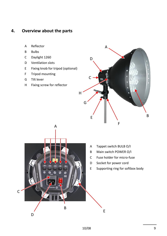### **4. Overview about the parts**

- A Reflector
- B Bulbs
- C Daylight 1260
- D Ventilation slots
- E Fixing knob for tripod (optional)
- F Tripod mounting
- G Tilt lever
- H Fixing screw for reflector





- A Tappet switch BULB O/I
- B Main switch POWER O/I
- C Fuse holder for micro-fuse
- D Socket for power cord
- E Supporting ring for softbox body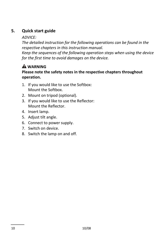# **5. Quick start guide**

#### *ADVICE:*

*The detailed instruction for the following operations can be found in the respective chapters in this instruction manual.* 

*Keep the sequences of the following operation steps when using the device for the first time to avoid damages on the device.* 

# **WARNING**

#### **Please note the safety notes in the respective chapters throughout operation.**

- 1. If you would like to use the Softbox: Mount the Softbox.
- 2. Mount on tripod (optional).
- 3. If you would like to use the Reflector: Mount the Reflector.
- 4. Insert lamp.
- 5. Adjust tilt angle.
- 6. Connect to power supply.
- 7. Switch on device.
- 8. Switch the lamp on and off.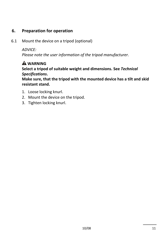## **6. Preparation for operation**

6.1 Mount the device on a tripod (optional)

*ADVICE:*

*Please note the user information of the tripod manufacturer.*

# **WARNING**

**Select a tripod of suitable weight and dimensions. See** *Technical Specifications***.**

**Make sure, that the tripod with the mounted device has a tilt and skid resistant stand.**

- 1. Loose locking knurl.
- 2. Mount the device on the tripod.
- 3. Tighten locking knurl.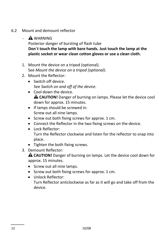- 6.2 Mount and demount reflector
	- $-$  **A** WARNING Posterior danger of bursting of flash tube **Don´t touch the lamp with bare hands. Just touch the lamp at the plastic socket or wear clean cotton gloves or use a clean cloth.**
	- 1. Mount the device on a tripod (optional). See *Mount the device on a tripod (optional)*.
	- 2. Mount the Reflector:
		- Switch off device. See *Switch on and off of the device*.
		- Cool down the device. **CAUTION!** Danger of burning on lamps. Please let the device cool down for approx. 15 minutes.
		- If lamps should be screwed in: Screw out all nine lamps.
		- Screw out both fixing screws for approx. 1 cm.
		- Connect the Reflector in the two fixing screws on the device.
		- $\bullet$  Lock Reflector: Turn the Reflector clockwise and listen for the reflector to snap into place.
		- Tighten the both fixing screws.
	- 3. Demount Reflector:

**CAUTION!** Danger of burning on lamps. Let the device cool down for approx. 15 minutes.

- Screw out all nine lamps.
- Screw out both fixing screws for approx. 1 cm.
- Unlock Reflector:

Turn Reflector anticlockwise as far as it will go and take off from the device.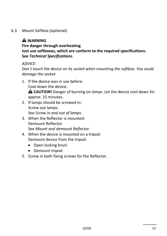6.3 Mount Softbox (optional)

# **WARNING**

**Fire danger through overheating Just use softboxes, which are conform to the required specifications. See** *Technical Specifications***.**

*ADVICE:*

*Don´t touch the device on its socket when mounting the softbox. You could damage the socket.*

- 1. If the device was in use before: Cool down the device. **CAUTION!** Danger of burning on lamps. Let the device cool down for approx. 15 minutes.
- 2. If lamps should be screwed in: Screw out lamps. See *Screw in and out of lamps*.
- 3. When the Reflector is mounted: Demount Reflector. See *Mount and demount Reflector*.
- 4. When the device is mounted on a tripod: Demount device from the tripod.
	- Open locking knurl.
	- Demount tripod.
- 5. Screw in both fixing screws for the Reflector.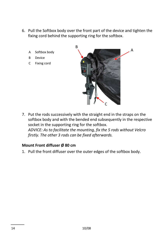- 6. Pull the Softbox body over the front part of the device and tighten the fixing cord behind the supporting ring for the softbox.
	- A Softbox body
	- B Device
	- C Fixing cord



7. Put the rods successively with the straight end in the straps on the softbox body and with the bended end subsequently in the respective socket in the supporting ring for the softbox. *ADVICE: As to facilitate the mounting, fix the 5 rods without Velcro firstly. The other 3 rods can be fixed afterwards.* 

#### **Mount Front diffuser Ø 80 cm**

1. Pull the front diffuser over the outer edges of the softbox body.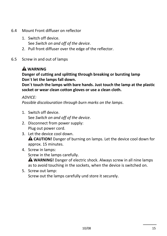- 6.4 Mount Front diffuser on reflector
	- 1. Switch off device. See *Switch on and off of the device*.
	- 2. Pull front diffuser over the edge of the reflector.
- 6.5 Screw in and out of lamps

# **WARNING**

**Danger of cutting and splitting through breaking or bursting lamp Don´t let the lamps fall down.**

**Don´t touch the lamps with bare hands. Just touch the lamp at the plastic socket or wear clean cotton gloves or use a clean cloth.**

#### *ADVICE:*

*Possible discolouration through burn marks on the lamps*.

- 1. Switch off device. See *Switch on and off of the device*.
- 2. Disconnect from power supply: Plug out power cord.
- 3. Let the device cool down. **CAUTION!** Danger of burning on lamps. Let the device cool down for approx. 15 minutes.
- 4. Screw in lamps:

Screw in the lamps carefully.

**WARNING!** Danger of electric shock. Always screw in all nine lamps as to avoid touching in the sockets, when the device is switched on.

5. Screw out lamp: Screw out the lamps carefully und store it securely.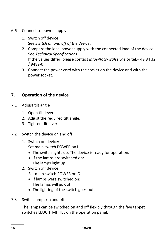- 6.6 Connect to power supply
	- 1. Switch off device. See *Switch on and off of the device*.
	- 2. Compare the local power supply with the connected load of the device. See *Technical Specifications*. If the values differ, please contact *info@foto-walser.de* or tel.+ 49 84 32 / 9489-0.
	- 3. Connect the power cord with the socket on the device and with the power socket.

# **7. Operation of the device**

- 7.1 Adjust tilt angle
	- 1. Open tilt lever.
	- 2. Adjust the required tilt angle.
	- 3. Tighten tilt lever.
- 7.2 Switch the device on and off
	- 1. Switch on device: Set main switch POWER on I.
		- The switch lights up. The device is ready for operation.
		- If the lamps are switched on: The lamps light up.
	- 2. Switch off device:

Set main switch POWER on O.

- If lamps were switched on: The lamps will go out.
- The lighting of the switch goes out.
- 7.3 Switch lamps on and off

The lamps can be switched on and off flexibly through the five tappet switches LEUCHTMITTEL on the operation panel.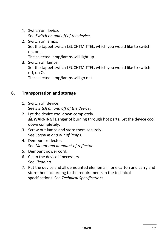- 1. Switch on device. See *Switch on and off of the device*.
- 2. Switch on lamps: Set the tappet switch LEUCHTMITTEL, which you would like to switch on, on I.

The selected lamp/lamps will light up.

3. Switch off lamps: Set the tappet switch LEUCHTMITTEL, which you would like to switch off, on O. The selected lamp/lamps will go out.

#### **8. Transportation and storage**

- 1. Switch off device. See *Switch on and off of the device*.
- 2. Let the device cool down completely. **WARNING!** Danger of burning through hot parts. Let the device cool down completely.
- 3. Screw out lamps and store them securely. See *Screw in and out of lamps*.
- 4. Demount reflector. See *Mount and demount of reflector*.
- 5. Demount power cord.
- 6. Clean the device if necessary. See *Cleaning*.
- 7. Put the device and all demounted elements in one carton and carry and store them according to the requirements in the technical specifications. See *Technical Specifications*.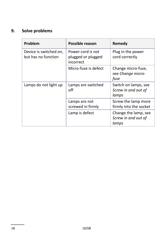# **9. Solve problems**

| Problem                                       | Possible reason                                      | Remedy                                               |
|-----------------------------------------------|------------------------------------------------------|------------------------------------------------------|
| Device is switched on,<br>but has no function | Power cord is not<br>plugged or plugged<br>incorrect | Plug in the power<br>cord correctly                  |
|                                               | Micro-fuse is defect                                 | Change micro-fuse,<br>see Change micro-<br>fuse      |
| Lamps do not light up                         | Lamps are switched<br>off                            | Switch on lamps, see<br>Screw in and out of<br>lamps |
|                                               | Lamps are not<br>screwed in firmly                   | Screw the lamp more<br>firmly into the socket        |
|                                               | Lamp is defect                                       | Change the lamp, see<br>Screw in and out of<br>lamps |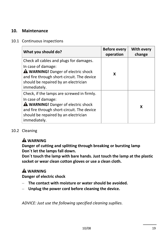# **10. Maintenance**

#### 10.1 Continuous inspections

| What you should do?                                                                                                                                                                                                  | <b>Before every</b><br>operation | <b>With every</b><br>change |
|----------------------------------------------------------------------------------------------------------------------------------------------------------------------------------------------------------------------|----------------------------------|-----------------------------|
| Check all cables and plugs for damages.<br>In case of damage:<br><b>A WARNING!</b> Danger of electric shock<br>and fire through short-circuit. The device<br>should be repaired by an electrician<br>immediately.    | X                                |                             |
| Check, if the lamps are screwed in firmly.<br>In case of damage:<br><b>A WARNING!</b> Danger of electric shock<br>and fire through short-circuit. The device<br>should be repaired by an electrician<br>immediately. |                                  | x                           |

#### 10.2 Cleaning

### **WARNING**

**Danger of cutting and splitting through breaking or bursting lamp Don´t let the lamps fall down.**

**Don´t touch the lamp with bare hands. Just touch the lamp at the plastic socket or wear clean cotton gloves or use a clean cloth.**

# **WARNING**

**Danger of electric shock**

- **The contact with moisture or water should be avoided.**
- **Unplug the power cord before cleaning the device.**

*ADVICE: Just use the following specified cleaning supllies.*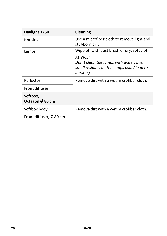| Daylight 1260                       | <b>Cleaning</b>                                                                                            |
|-------------------------------------|------------------------------------------------------------------------------------------------------------|
| Housing                             | Use a microfiber cloth to remove light and<br>stubborn dirt                                                |
| Lamps                               | Wipe off with dust brush or dry, soft cloth                                                                |
|                                     | ADVICF:<br>Don't clean the lamps with water. Even<br>small residues on the lamps could lead to<br>bursting |
| Reflector                           | Remove dirt with a wet microfiber cloth.                                                                   |
| Front diffuser                      |                                                                                                            |
| Softbox,<br>Octagon Ø 80 cm         |                                                                                                            |
| Softbox body                        | Remove dirt with a wet microfiber cloth.                                                                   |
| Front diffuser, $\varnothing$ 80 cm |                                                                                                            |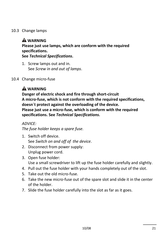#### 10.3 Change lamps

# **A** WARNING

**Please just use lamps, which are conform with the required specifications.** 

**See** *Technical Specifications***.**

1. Screw lamps out and in. See *Screw in and out of lamps*.

#### 10.4 Change micro-fuse

# **A** WARNING

**Danger of electric shock and fire through short-circuit A micro-fuse, which is not conform with the required specifications, doesn´t protect against the overloading of the device. Please just use a micro-fuse, which is conform with the required specifications. See** *Technical Specifications***.**

#### *ADVICE:*

*The fuse holder keeps a spare fuse.*

- 1. Switch off device. See *Switch on and off of the device*.
- 2. Disconnect from power supply: Unplug power cord.
- 3. Open fuse holder: Use a small screwdriver to lift up the fuse holder carefully and slightly.
- 4. Pull out the fuse holder with your hands completely out of the slot.
- 5. Take out the old micro-fuse.
- 6. Take the new micro-fuse out of the spare slot and slide it in the center of the holder.
- 7. Slide the fuse holder carefully into the slot as far as it goes.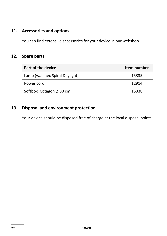### **11. Accessories and options**

You can find extensive accessories for your device in our webshop.

### **12. Spare parts**

| Part of the device                 | Item number |
|------------------------------------|-------------|
| Lamp (walimex Spiral Daylight)     | 15335       |
| Power cord                         | 12914       |
| Softbox, Octagon $\emptyset$ 80 cm | 15338       |

## **13. Disposal and environment protection**

Your device should be disposed free of charge at the local disposal points.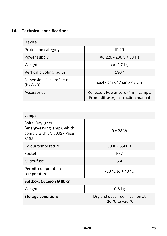# **14. Technical specifications**

| <b>Device</b>                         |                                                                           |
|---------------------------------------|---------------------------------------------------------------------------|
| Protection category                   | IP <sub>20</sub>                                                          |
| Power supply                          | AC 220 - 230 V / 50 Hz                                                    |
| Weight                                | ca. 4,7 kg                                                                |
| Vertical pivoting radius              | 180°                                                                      |
| Dimensions incl. reflector<br>(HxWxD) | ca.47 cm x 47 cm x 43 cm                                                  |
| Accessories                           | Reflector, Power cord (4 m), Lamps,<br>Front diffuser, Instruction manual |

| Lamps                                                                                       |                                                        |
|---------------------------------------------------------------------------------------------|--------------------------------------------------------|
| <b>Spiral Daylights</b><br>(energy-saving lamp), which<br>comply with EN 60357 Page<br>3155 | $9 \times 28$ W                                        |
| Colour temperature                                                                          | 5000 - 5500 K                                          |
| Socket                                                                                      | F <sub>2</sub> 7                                       |
| Micro-fuse                                                                                  | 5 A                                                    |
| Permitted operation<br>temperature                                                          | $-10 °C$ to $+40 °C$                                   |
| Softbox, Octagon Ø 80 cm                                                                    |                                                        |
| Weight                                                                                      | $0,8$ kg                                               |
| <b>Storage conditions</b>                                                                   | Dry and dust-free in carton at<br>$-20 °C$ to $+50 °C$ |